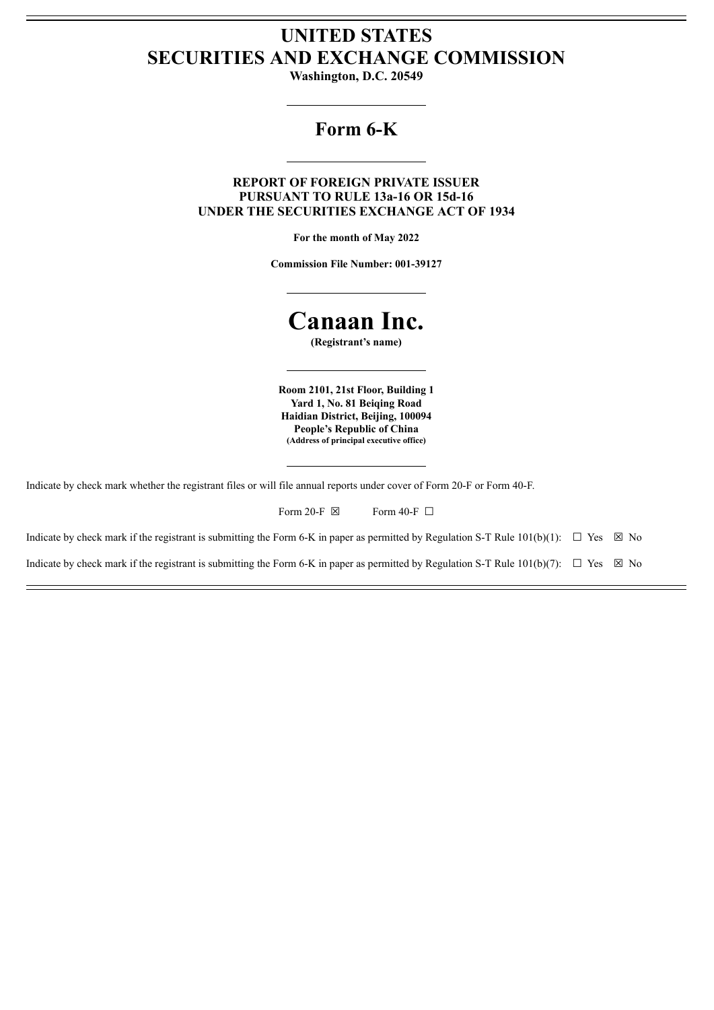## **UNITED STATES SECURITIES AND EXCHANGE COMMISSION**

**Washington, D.C. 20549**

## **Form 6-K**

### **REPORT OF FOREIGN PRIVATE ISSUER PURSUANT TO RULE 13a-16 OR 15d-16 UNDER THE SECURITIES EXCHANGE ACT OF 1934**

**For the month of May 2022**

**Commission File Number: 001-39127**

# **Canaan Inc.**

**(Registrant's name)**

**Room 2101, 21st Floor, Building 1 Yard 1, No. 81 Beiqing Road Haidian District, Beijing, 100094 People's Republic of China (Address of principal executive office)**

Indicate by check mark whether the registrant files or will file annual reports under cover of Form 20-F or Form 40-F.

| Form 20-F $\boxtimes$ |  | Form 40-F $\Box$ |  |
|-----------------------|--|------------------|--|
|-----------------------|--|------------------|--|

Indicate by check mark if the registrant is submitting the Form 6-K in paper as permitted by Regulation S-T Rule 101(b)(1):  $\Box$  Yes  $\boxtimes$  No

Indicate by check mark if the registrant is submitting the Form 6-K in paper as permitted by Regulation S-T Rule  $101(b)(7)$ :  $\Box$  Yes  $\boxtimes$  No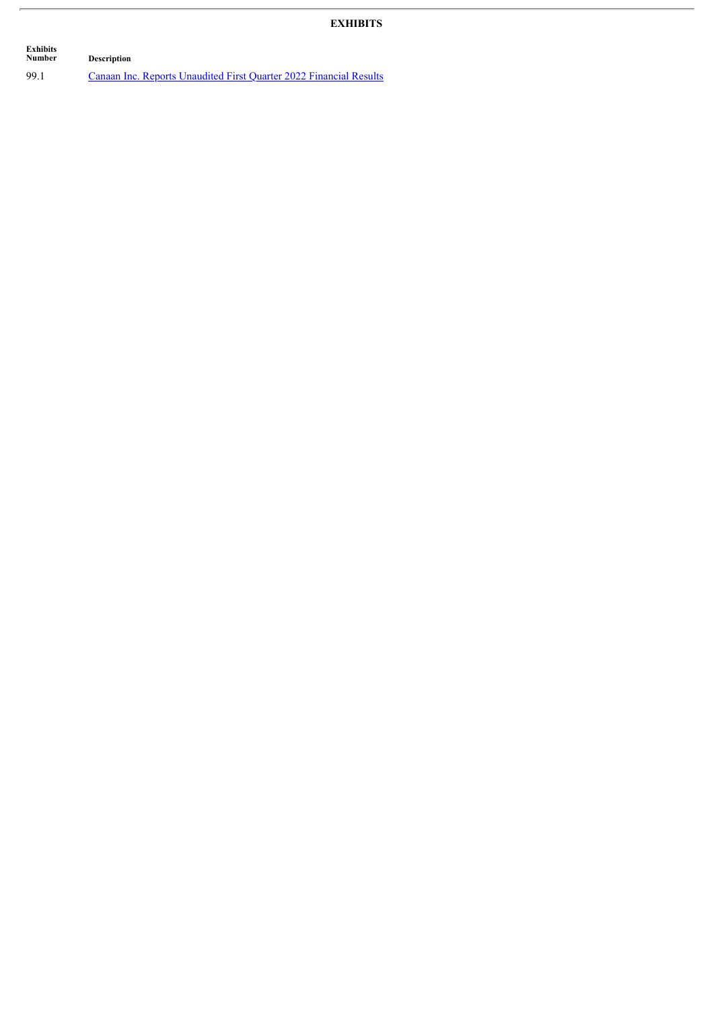## **EXHIBITS**

 $\overline{\phantom{a}}$ 

| Exhibits<br>Number | <b>Description</b>                                                 |
|--------------------|--------------------------------------------------------------------|
| 99.1               | Canaan Inc. Reports Unaudited First Ouarter 2022 Financial Results |

 $\overline{a}$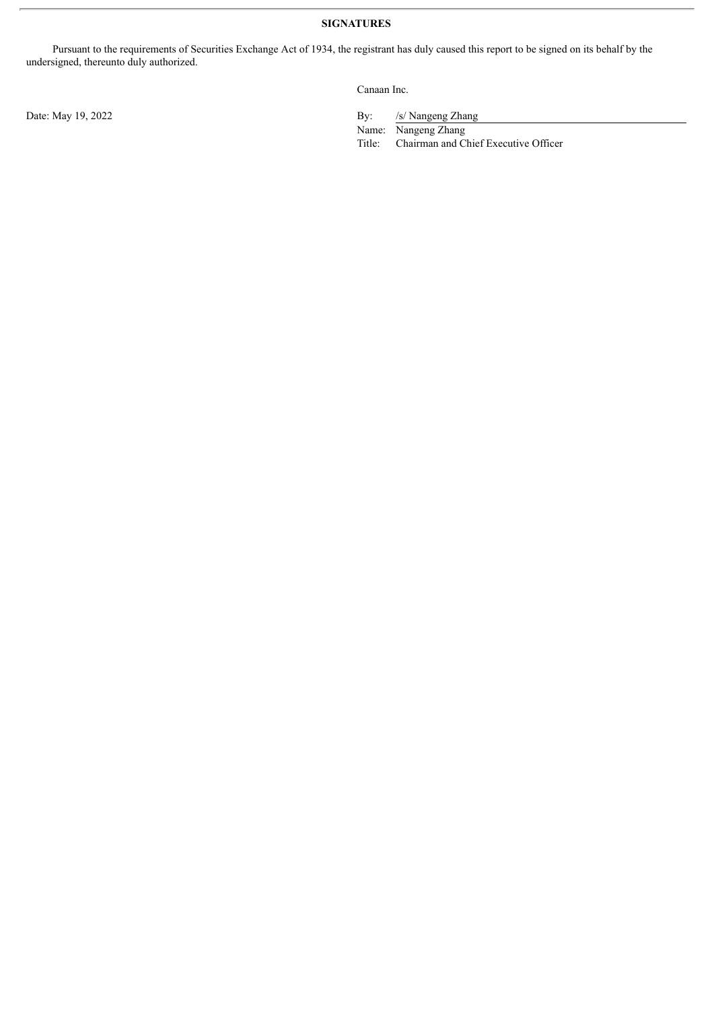Pursuant to the requirements of Securities Exchange Act of 1934, the registrant has duly caused this report to be signed on its behalf by the undersigned, thereunto duly authorized.

Canaan Inc.

Date: May 19, 2022 By: /s/ Nangeng Zhang

Name: Nangeng Zhang

Title: Chairman and Chief Executive Officer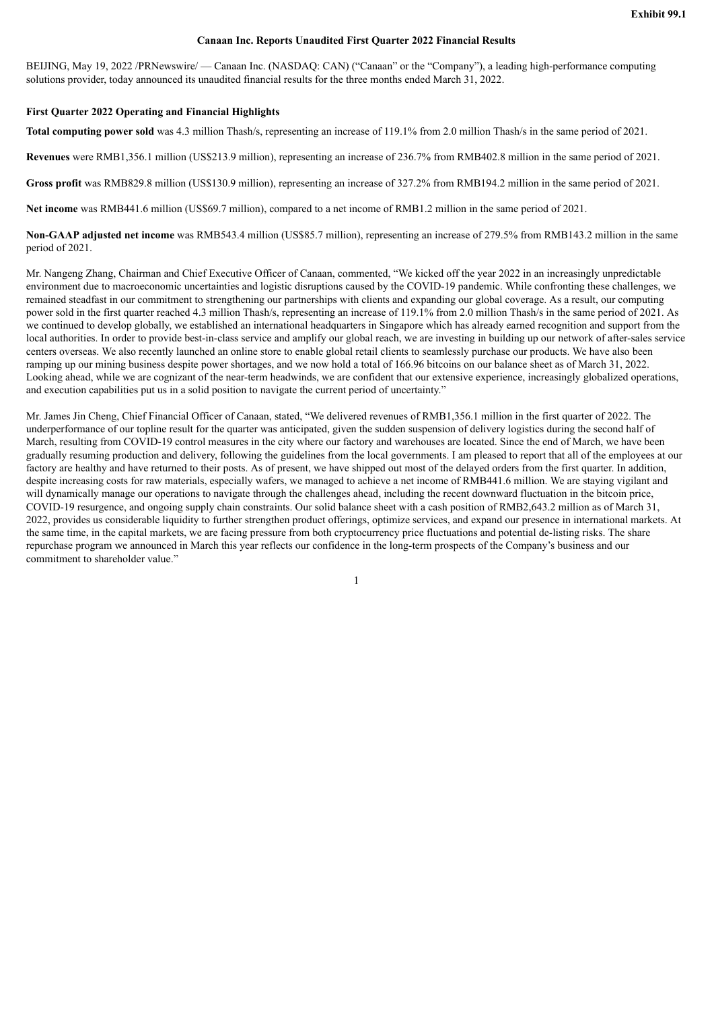#### **Canaan Inc. Reports Unaudited First Quarter 2022 Financial Results**

<span id="page-3-0"></span>BEIJING, May 19, 2022 /PRNewswire/ — Canaan Inc. (NASDAQ: CAN) ("Canaan" or the "Company"), a leading high-performance computing solutions provider, today announced its unaudited financial results for the three months ended March 31, 2022.

#### **First Quarter 2022 Operating and Financial Highlights**

**Total computing power sold** was 4.3 million Thash/s, representing an increase of 119.1% from 2.0 million Thash/s in the same period of 2021.

**Revenues** were RMB1,356.1 million (US\$213.9 million), representing an increase of 236.7% from RMB402.8 million in the same period of 2021.

**Gross profit** was RMB829.8 million (US\$130.9 million), representing an increase of 327.2% from RMB194.2 million in the same period of 2021.

**Net income** was RMB441.6 million (US\$69.7 million), compared to a net income of RMB1.2 million in the same period of 2021.

**Non-GAAP adjusted net income** was RMB543.4 million (US\$85.7 million), representing an increase of 279.5% from RMB143.2 million in the same period of 2021.

Mr. Nangeng Zhang, Chairman and Chief Executive Officer of Canaan, commented, "We kicked off the year 2022 in an increasingly unpredictable environment due to macroeconomic uncertainties and logistic disruptions caused by the COVID-19 pandemic. While confronting these challenges, we remained steadfast in our commitment to strengthening our partnerships with clients and expanding our global coverage. As a result, our computing power sold in the first quarter reached 4.3 million Thash/s, representing an increase of 119.1% from 2.0 million Thash/s in the same period of 2021. As we continued to develop globally, we established an international headquarters in Singapore which has already earned recognition and support from the local authorities. In order to provide best-in-class service and amplify our global reach, we are investing in building up our network of after-sales service centers overseas. We also recently launched an online store to enable global retail clients to seamlessly purchase our products. We have also been ramping up our mining business despite power shortages, and we now hold a total of 166.96 bitcoins on our balance sheet as of March 31, 2022. Looking ahead, while we are cognizant of the near-term headwinds, we are confident that our extensive experience, increasingly globalized operations, and execution capabilities put us in a solid position to navigate the current period of uncertainty."

Mr. James Jin Cheng, Chief Financial Officer of Canaan, stated, "We delivered revenues of RMB1,356.1 million in the first quarter of 2022. The underperformance of our topline result for the quarter was anticipated, given the sudden suspension of delivery logistics during the second half of March, resulting from COVID-19 control measures in the city where our factory and warehouses are located. Since the end of March, we have been gradually resuming production and delivery, following the guidelines from the local governments. I am pleased to report that all of the employees at our factory are healthy and have returned to their posts. As of present, we have shipped out most of the delayed orders from the first quarter. In addition, despite increasing costs for raw materials, especially wafers, we managed to achieve a net income of RMB441.6 million. We are staying vigilant and will dynamically manage our operations to navigate through the challenges ahead, including the recent downward fluctuation in the bitcoin price, COVID-19 resurgence, and ongoing supply chain constraints. Our solid balance sheet with a cash position of RMB2,643.2 million as of March 31, 2022, provides us considerable liquidity to further strengthen product offerings, optimize services, and expand our presence in international markets. At the same time, in the capital markets, we are facing pressure from both cryptocurrency price fluctuations and potential de-listing risks. The share repurchase program we announced in March this year reflects our confidence in the long-term prospects of the Company's business and our commitment to shareholder value."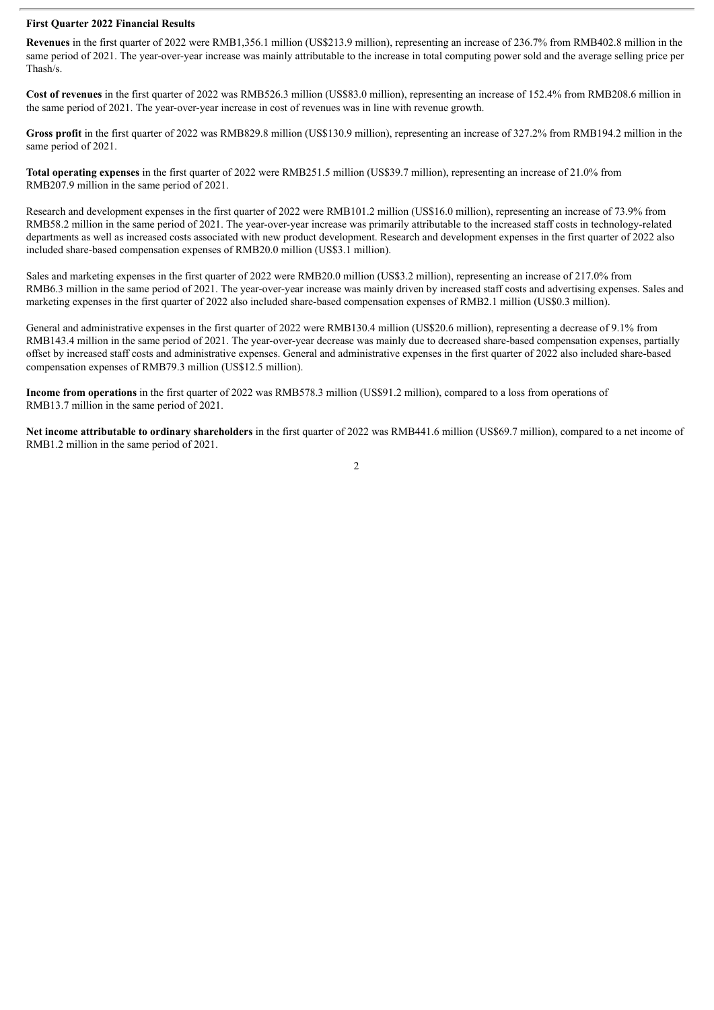#### **First Quarter 2022 Financial Results**

**Revenues** in the first quarter of 2022 were RMB1,356.1 million (US\$213.9 million), representing an increase of 236.7% from RMB402.8 million in the same period of 2021. The year-over-year increase was mainly attributable to the increase in total computing power sold and the average selling price per Thash/s.

**Cost of revenues** in the first quarter of 2022 was RMB526.3 million (US\$83.0 million), representing an increase of 152.4% from RMB208.6 million in the same period of 2021. The year-over-year increase in cost of revenues was in line with revenue growth.

**Gross profit** in the first quarter of 2022 was RMB829.8 million (US\$130.9 million), representing an increase of 327.2% from RMB194.2 million in the same period of 2021.

**Total operating expenses** in the first quarter of 2022 were RMB251.5 million (US\$39.7 million), representing an increase of 21.0% from RMB207.9 million in the same period of 2021.

Research and development expenses in the first quarter of 2022 were RMB101.2 million (US\$16.0 million), representing an increase of 73.9% from RMB58.2 million in the same period of 2021. The year-over-year increase was primarily attributable to the increased staff costs in technology-related departments as well as increased costs associated with new product development. Research and development expenses in the first quarter of 2022 also included share-based compensation expenses of RMB20.0 million (US\$3.1 million).

Sales and marketing expenses in the first quarter of 2022 were RMB20.0 million (US\$3.2 million), representing an increase of 217.0% from RMB6.3 million in the same period of 2021. The year-over-year increase was mainly driven by increased staff costs and advertising expenses. Sales and marketing expenses in the first quarter of 2022 also included share-based compensation expenses of RMB2.1 million (US\$0.3 million).

General and administrative expenses in the first quarter of 2022 were RMB130.4 million (US\$20.6 million), representing a decrease of 9.1% from RMB143.4 million in the same period of 2021. The year-over-year decrease was mainly due to decreased share-based compensation expenses, partially offset by increased staff costs and administrative expenses. General and administrative expenses in the first quarter of 2022 also included share-based compensation expenses of RMB79.3 million (US\$12.5 million).

**Income from operations** in the first quarter of 2022 was RMB578.3 million (US\$91.2 million), compared to a loss from operations of RMB13.7 million in the same period of 2021.

**Net income attributable to ordinary shareholders** in the first quarter of 2022 was RMB441.6 million (US\$69.7 million), compared to a net income of RMB1.2 million in the same period of 2021.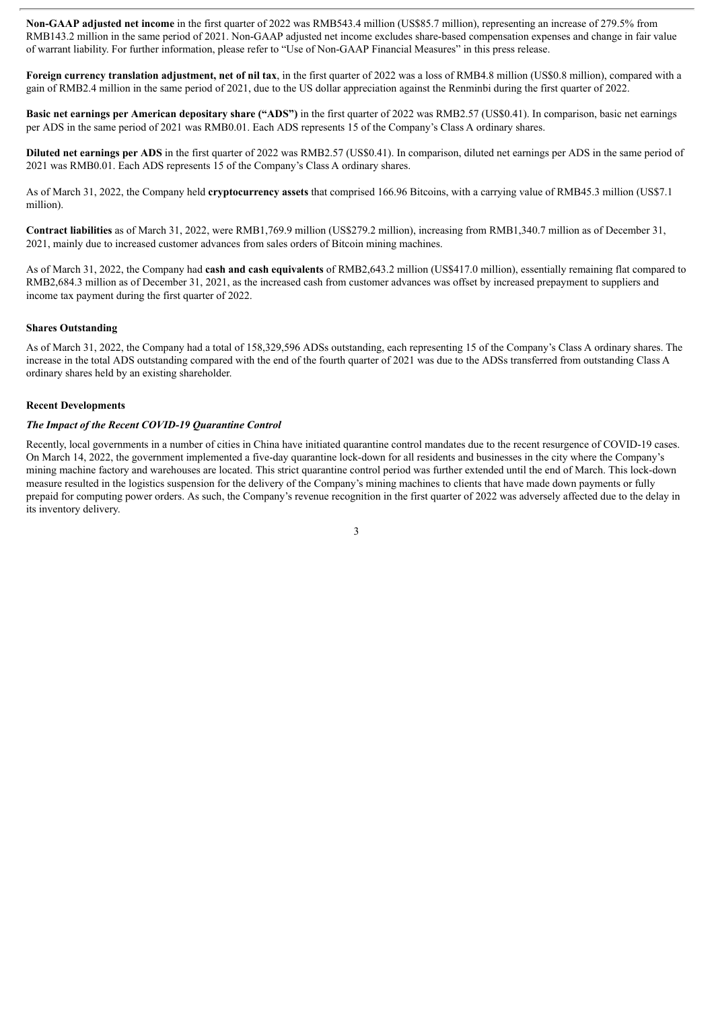**Non-GAAP adjusted net income** in the first quarter of 2022 was RMB543.4 million (US\$85.7 million), representing an increase of 279.5% from RMB143.2 million in the same period of 2021. Non-GAAP adjusted net income excludes share-based compensation expenses and change in fair value of warrant liability. For further information, please refer to "Use of Non-GAAP Financial Measures" in this press release.

**Foreign currency translation adjustment, net of nil tax**, in the first quarter of 2022 was a loss of RMB4.8 million (US\$0.8 million), compared with a gain of RMB2.4 million in the same period of 2021, due to the US dollar appreciation against the Renminbi during the first quarter of 2022.

**Basic net earnings per American depositary share ("ADS")** in the first quarter of 2022 was RMB2.57 (US\$0.41). In comparison, basic net earnings per ADS in the same period of 2021 was RMB0.01. Each ADS represents 15 of the Company's Class A ordinary shares.

**Diluted net earnings per ADS** in the first quarter of 2022 was RMB2.57 (US\$0.41). In comparison, diluted net earnings per ADS in the same period of 2021 was RMB0.01. Each ADS represents 15 of the Company's Class A ordinary shares.

As of March 31, 2022, the Company held **cryptocurrency assets** that comprised 166.96 Bitcoins, with a carrying value of RMB45.3 million (US\$7.1 million).

**Contract liabilities** as of March 31, 2022, were RMB1,769.9 million (US\$279.2 million), increasing from RMB1,340.7 million as of December 31, 2021, mainly due to increased customer advances from sales orders of Bitcoin mining machines.

As of March 31, 2022, the Company had **cash and cash equivalents** of RMB2,643.2 million (US\$417.0 million), essentially remaining flat compared to RMB2,684.3 million as of December 31, 2021, as the increased cash from customer advances was offset by increased prepayment to suppliers and income tax payment during the first quarter of 2022.

#### **Shares Outstanding**

As of March 31, 2022, the Company had a total of 158,329,596 ADSs outstanding, each representing 15 of the Company's Class A ordinary shares. The increase in the total ADS outstanding compared with the end of the fourth quarter of 2021 was due to the ADSs transferred from outstanding Class A ordinary shares held by an existing shareholder.

#### **Recent Developments**

#### *The Impact of the Recent COVID-19 Quarantine Control*

Recently, local governments in a number of cities in China have initiated quarantine control mandates due to the recent resurgence of COVID-19 cases. On March 14, 2022, the government implemented a five-day quarantine lock-down for all residents and businesses in the city where the Company's mining machine factory and warehouses are located. This strict quarantine control period was further extended until the end of March. This lock-down measure resulted in the logistics suspension for the delivery of the Company's mining machines to clients that have made down payments or fully prepaid for computing power orders. As such, the Company's revenue recognition in the first quarter of 2022 was adversely affected due to the delay in its inventory delivery.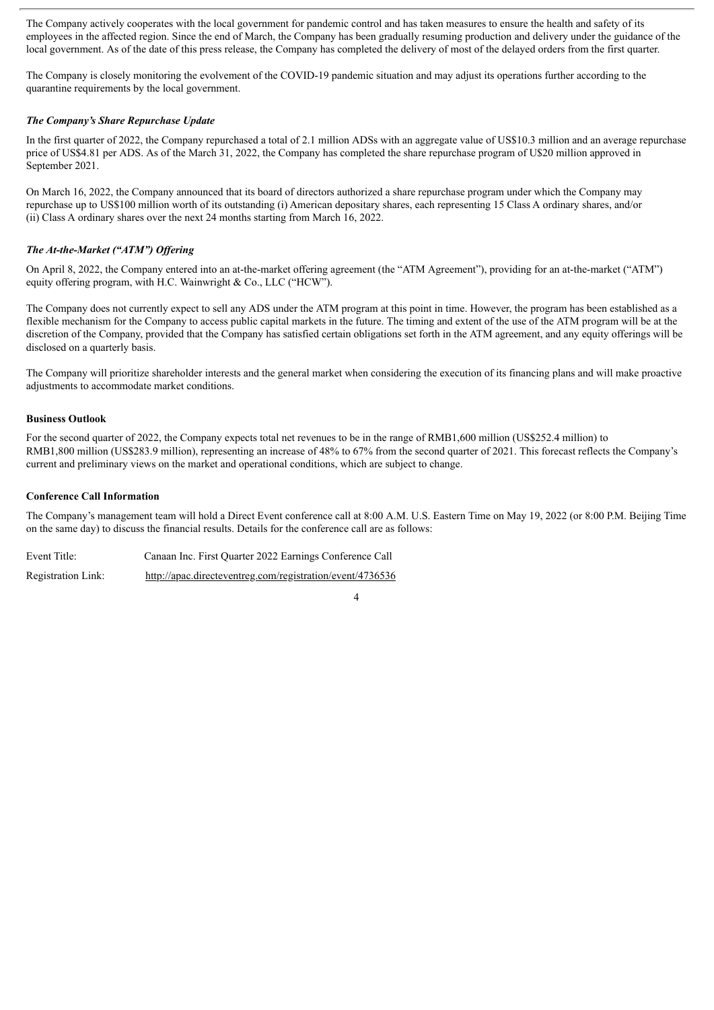The Company actively cooperates with the local government for pandemic control and has taken measures to ensure the health and safety of its employees in the affected region. Since the end of March, the Company has been gradually resuming production and delivery under the guidance of the local government. As of the date of this press release, the Company has completed the delivery of most of the delayed orders from the first quarter.

The Company is closely monitoring the evolvement of the COVID-19 pandemic situation and may adjust its operations further according to the quarantine requirements by the local government.

#### *The Company's Share Repurchase Update*

In the first quarter of 2022, the Company repurchased a total of 2.1 million ADSs with an aggregate value of US\$10.3 million and an average repurchase price of US\$4.81 per ADS. As of the March 31, 2022, the Company has completed the share repurchase program of U\$20 million approved in September 2021.

On March 16, 2022, the Company announced that its board of directors authorized a share repurchase program under which the Company may repurchase up to US\$100 million worth of its outstanding (i) American depositary shares, each representing 15 Class A ordinary shares, and/or (ii) Class A ordinary shares over the next 24 months starting from March 16, 2022.

#### *The At-the-Market ("ATM") Of ering*

On April 8, 2022, the Company entered into an at-the-market offering agreement (the "ATM Agreement"), providing for an at-the-market ("ATM") equity offering program, with H.C. Wainwright & Co., LLC ("HCW").

The Company does not currently expect to sell any ADS under the ATM program at this point in time. However, the program has been established as a flexible mechanism for the Company to access public capital markets in the future. The timing and extent of the use of the ATM program will be at the discretion of the Company, provided that the Company has satisfied certain obligations set forth in the ATM agreement, and any equity offerings will be disclosed on a quarterly basis.

The Company will prioritize shareholder interests and the general market when considering the execution of its financing plans and will make proactive adjustments to accommodate market conditions.

#### **Business Outlook**

For the second quarter of 2022, the Company expects total net revenues to be in the range of RMB1,600 million (US\$252.4 million) to RMB1,800 million (US\$283.9 million), representing an increase of 48% to 67% from the second quarter of 2021. This forecast reflects the Company's current and preliminary views on the market and operational conditions, which are subject to change.

#### **Conference Call Information**

The Company's management team will hold a Direct Event conference call at 8:00 A.M. U.S. Eastern Time on May 19, 2022 (or 8:00 P.M. Beijing Time on the same day) to discuss the financial results. Details for the conference call are as follows:

Event Title: Canaan Inc. First Quarter 2022 Earnings Conference Call Registration Link: http://apac.directeventreg.com/registration/event/4736536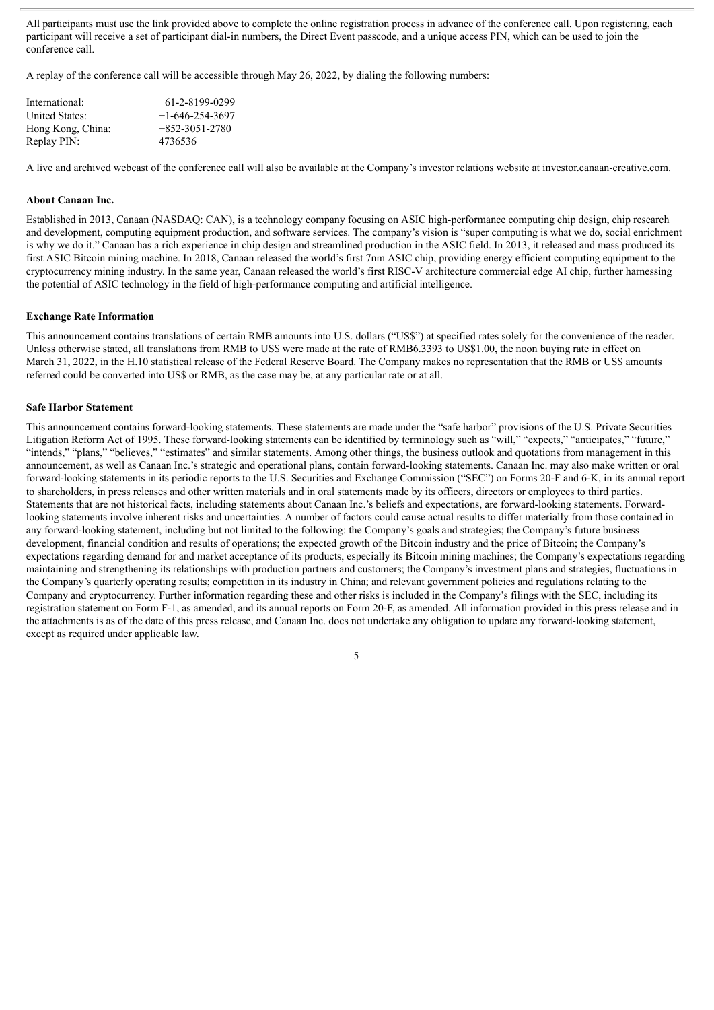All participants must use the link provided above to complete the online registration process in advance of the conference call. Upon registering, each participant will receive a set of participant dial-in numbers, the Direct Event passcode, and a unique access PIN, which can be used to join the conference call.

A replay of the conference call will be accessible through May 26, 2022, by dialing the following numbers:

| International:        | $+61-2-8199-0299$ |
|-----------------------|-------------------|
| <b>United States:</b> | $+1-646-254-3697$ |
| Hong Kong, China:     | $+852-3051-2780$  |
| Replay PIN:           | 4736536           |

A live and archived webcast of the conference call will also be available at the Company's investor relations website at investor.canaan-creative.com.

#### **About Canaan Inc.**

Established in 2013, Canaan (NASDAQ: CAN), is a technology company focusing on ASIC high-performance computing chip design, chip research and development, computing equipment production, and software services. The company's vision is "super computing is what we do, social enrichment is why we do it." Canaan has a rich experience in chip design and streamlined production in the ASIC field. In 2013, it released and mass produced its first ASIC Bitcoin mining machine. In 2018, Canaan released the world's first 7nm ASIC chip, providing energy efficient computing equipment to the cryptocurrency mining industry. In the same year, Canaan released the world's first RISC-V architecture commercial edge AI chip, further harnessing the potential of ASIC technology in the field of high-performance computing and artificial intelligence.

#### **Exchange Rate Information**

This announcement contains translations of certain RMB amounts into U.S. dollars ("US\$") at specified rates solely for the convenience of the reader. Unless otherwise stated, all translations from RMB to US\$ were made at the rate of RMB6.3393 to US\$1.00, the noon buying rate in effect on March 31, 2022, in the H.10 statistical release of the Federal Reserve Board. The Company makes no representation that the RMB or US\$ amounts referred could be converted into US\$ or RMB, as the case may be, at any particular rate or at all.

#### **Safe Harbor Statement**

This announcement contains forward-looking statements. These statements are made under the "safe harbor" provisions of the U.S. Private Securities Litigation Reform Act of 1995. These forward-looking statements can be identified by terminology such as "will," "expects," "anticipates," "future," "intends," "plans," "believes," "estimates" and similar statements. Among other things, the business outlook and quotations from management in this announcement, as well as Canaan Inc.'s strategic and operational plans, contain forward-looking statements. Canaan Inc. may also make written or oral forward-looking statements in its periodic reports to the U.S. Securities and Exchange Commission ("SEC") on Forms 20-F and 6-K, in its annual report to shareholders, in press releases and other written materials and in oral statements made by its officers, directors or employees to third parties. Statements that are not historical facts, including statements about Canaan Inc.'s beliefs and expectations, are forward-looking statements. Forwardlooking statements involve inherent risks and uncertainties. A number of factors could cause actual results to differ materially from those contained in any forward-looking statement, including but not limited to the following: the Company's goals and strategies; the Company's future business development, financial condition and results of operations; the expected growth of the Bitcoin industry and the price of Bitcoin; the Company's expectations regarding demand for and market acceptance of its products, especially its Bitcoin mining machines; the Company's expectations regarding maintaining and strengthening its relationships with production partners and customers; the Company's investment plans and strategies, fluctuations in the Company's quarterly operating results; competition in its industry in China; and relevant government policies and regulations relating to the Company and cryptocurrency. Further information regarding these and other risks is included in the Company's filings with the SEC, including its registration statement on Form F-1, as amended, and its annual reports on Form 20-F, as amended. All information provided in this press release and in the attachments is as of the date of this press release, and Canaan Inc. does not undertake any obligation to update any forward-looking statement, except as required under applicable law.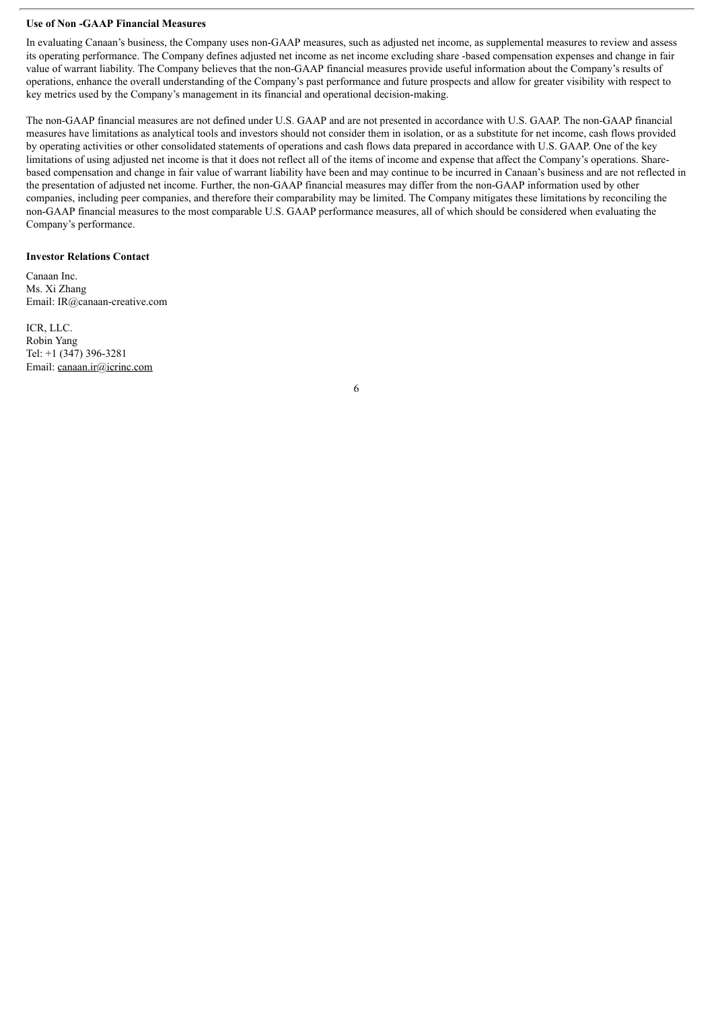#### **Use of Non -GAAP Financial Measures**

In evaluating Canaan's business, the Company uses non-GAAP measures, such as adjusted net income, as supplemental measures to review and assess its operating performance. The Company defines adjusted net income as net income excluding share -based compensation expenses and change in fair value of warrant liability. The Company believes that the non-GAAP financial measures provide useful information about the Company's results of operations, enhance the overall understanding of the Company's past performance and future prospects and allow for greater visibility with respect to key metrics used by the Company's management in its financial and operational decision-making.

The non-GAAP financial measures are not defined under U.S. GAAP and are not presented in accordance with U.S. GAAP. The non-GAAP financial measures have limitations as analytical tools and investors should not consider them in isolation, or as a substitute for net income, cash flows provided by operating activities or other consolidated statements of operations and cash flows data prepared in accordance with U.S. GAAP. One of the key limitations of using adjusted net income is that it does not reflect all of the items of income and expense that affect the Company's operations. Sharebased compensation and change in fair value of warrant liability have been and may continue to be incurred in Canaan's business and are not reflected in the presentation of adjusted net income. Further, the non-GAAP financial measures may differ from the non-GAAP information used by other companies, including peer companies, and therefore their comparability may be limited. The Company mitigates these limitations by reconciling the non-GAAP financial measures to the most comparable U.S. GAAP performance measures, all of which should be considered when evaluating the Company's performance.

#### **Investor Relations Contact**

Canaan Inc. Ms. Xi Zhang Email: IR@canaan-creative.com

ICR, LLC. Robin Yang Tel: +1 (347) 396-3281 Email: canaan.ir@icrinc.com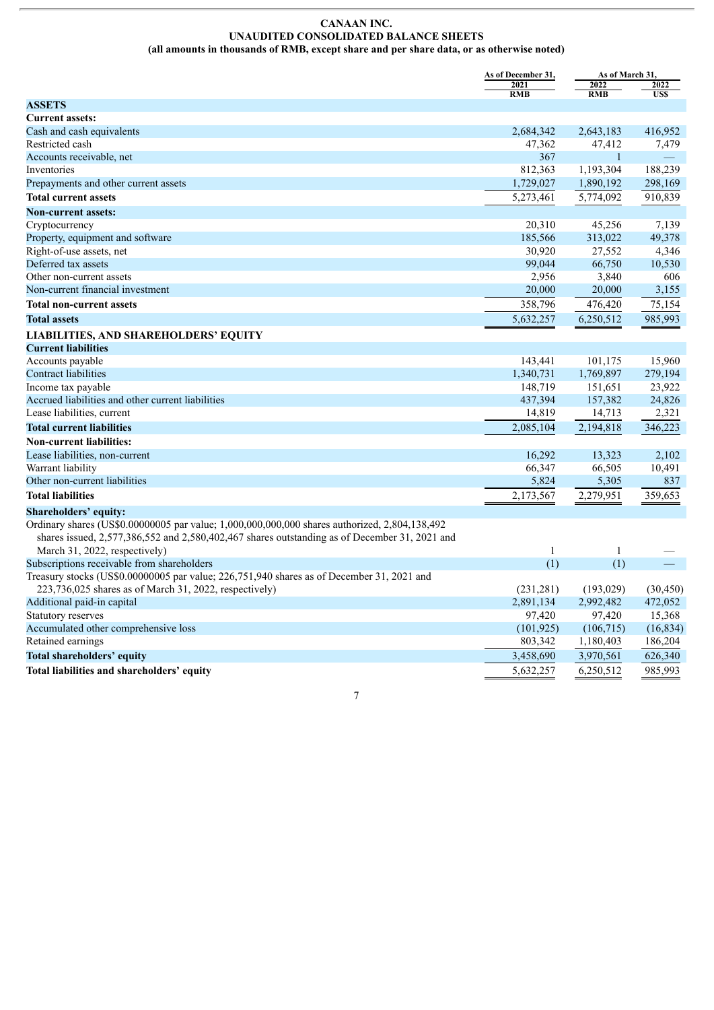#### **CANAAN INC. UNAUDITED CONSOLIDATED BALANCE SHEETS (all amounts in thousands of RMB, except share and per share data, or as otherwise noted)**

|                                                                                                                                                                                                | As of December 31, | As of March 31,    |                    |
|------------------------------------------------------------------------------------------------------------------------------------------------------------------------------------------------|--------------------|--------------------|--------------------|
|                                                                                                                                                                                                | 2021<br><b>RMB</b> | 2022<br><b>RMB</b> | 2022<br><b>USS</b> |
| <b>ASSETS</b>                                                                                                                                                                                  |                    |                    |                    |
| <b>Current assets:</b>                                                                                                                                                                         |                    |                    |                    |
| Cash and cash equivalents                                                                                                                                                                      | 2,684,342          | 2,643,183          | 416,952            |
| Restricted cash                                                                                                                                                                                | 47,362             | 47,412             | 7,479              |
| Accounts receivable, net                                                                                                                                                                       | 367                | $\mathbf{1}$       |                    |
| Inventories                                                                                                                                                                                    | 812,363            | 1,193,304          | 188,239            |
| Prepayments and other current assets                                                                                                                                                           | 1,729,027          | 1,890,192          | 298,169            |
| <b>Total current assets</b>                                                                                                                                                                    | 5,273,461          | 5,774,092          | 910,839            |
| <b>Non-current assets:</b>                                                                                                                                                                     |                    |                    |                    |
| Cryptocurrency                                                                                                                                                                                 | 20,310             | 45,256             | 7,139              |
| Property, equipment and software                                                                                                                                                               | 185,566            | 313,022            | 49,378             |
| Right-of-use assets, net                                                                                                                                                                       | 30,920             | 27,552             | 4,346              |
| Deferred tax assets                                                                                                                                                                            | 99,044             | 66,750             | 10,530             |
| Other non-current assets                                                                                                                                                                       | 2,956              | 3,840              | 606                |
| Non-current financial investment                                                                                                                                                               | 20,000             | 20,000             | 3,155              |
| <b>Total non-current assets</b>                                                                                                                                                                | 358,796            | 476,420            | 75,154             |
| <b>Total assets</b>                                                                                                                                                                            | 5,632,257          | 6,250,512          | 985,993            |
| LIABILITIES, AND SHAREHOLDERS' EQUITY                                                                                                                                                          |                    |                    |                    |
| <b>Current liabilities</b>                                                                                                                                                                     |                    |                    |                    |
| Accounts payable                                                                                                                                                                               | 143,441            | 101,175            | 15,960             |
| Contract liabilities                                                                                                                                                                           | 1,340,731          | 1,769,897          | 279,194            |
| Income tax payable                                                                                                                                                                             | 148,719            | 151,651            | 23,922             |
| Accrued liabilities and other current liabilities                                                                                                                                              | 437,394            | 157,382            | 24,826             |
| Lease liabilities, current                                                                                                                                                                     | 14,819             | 14,713             | 2,321              |
| <b>Total current liabilities</b>                                                                                                                                                               | 2,085,104          | 2,194,818          | 346,223            |
| <b>Non-current liabilities:</b>                                                                                                                                                                |                    |                    |                    |
| Lease liabilities, non-current                                                                                                                                                                 | 16,292             | 13,323             | 2,102              |
| Warrant liability                                                                                                                                                                              | 66,347             | 66,505             | 10,491             |
| Other non-current liabilities                                                                                                                                                                  | 5,824              | 5,305              | 837                |
| <b>Total liabilities</b>                                                                                                                                                                       | 2,173,567          | 2,279,951          | 359,653            |
| Shareholders' equity:                                                                                                                                                                          |                    |                    |                    |
| Ordinary shares (US\$0.00000005 par value; 1,000,000,000,000 shares authorized, 2,804,138,492<br>shares issued, 2,577,386,552 and 2,580,402,467 shares outstanding as of December 31, 2021 and |                    |                    |                    |
| March 31, 2022, respectively)                                                                                                                                                                  | 1                  | $\mathbf{1}$       |                    |
| Subscriptions receivable from shareholders                                                                                                                                                     | (1)                | (1)                |                    |
| Treasury stocks (US\$0.00000005 par value; 226,751,940 shares as of December 31, 2021 and                                                                                                      |                    |                    |                    |
| 223,736,025 shares as of March 31, 2022, respectively)                                                                                                                                         | (231, 281)         | (193, 029)         | (30, 450)          |
| Additional paid-in capital                                                                                                                                                                     | 2,891,134          | 2,992,482          | 472,052            |
| Statutory reserves                                                                                                                                                                             | 97,420             | 97,420             | 15,368             |
| Accumulated other comprehensive loss                                                                                                                                                           | (101, 925)         | (106, 715)         | (16, 834)          |
| Retained earnings                                                                                                                                                                              | 803,342            | 1,180,403          | 186,204            |
| <b>Total shareholders' equity</b>                                                                                                                                                              | 3,458,690          | 3,970,561          | 626,340            |
| Total liabilities and shareholders' equity                                                                                                                                                     | 5,632,257          | 6,250,512          | 985,993            |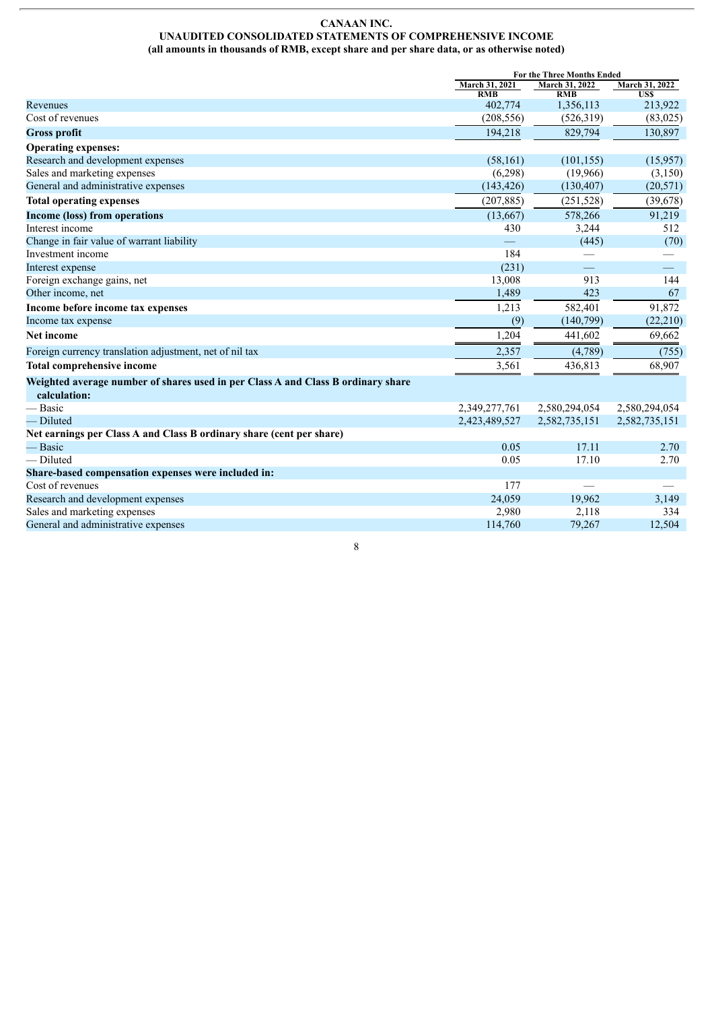#### **CANAAN INC. UNAUDITED CONSOLIDATED STATEMENTS OF COMPREHENSIVE INCOME (all amounts in thousands of RMB, except share and per share data, or as otherwise noted)**

|                                                                                  | For the Three Months Ended |                         |                 |
|----------------------------------------------------------------------------------|----------------------------|-------------------------|-----------------|
|                                                                                  | March 31, 2021             | March 31, 2022          | March 31, 2022  |
| Revenues                                                                         | <b>RMB</b><br>402,774      | <b>RMB</b><br>1,356,113 | US\$<br>213,922 |
| Cost of revenues                                                                 | (208, 556)                 | (526,319)               | (83,025)        |
|                                                                                  | 194,218                    | 829,794                 | 130,897         |
| <b>Gross profit</b>                                                              |                            |                         |                 |
| <b>Operating expenses:</b>                                                       |                            |                         |                 |
| Research and development expenses                                                | (58, 161)                  | (101, 155)              | (15,957)        |
| Sales and marketing expenses                                                     | (6,298)                    | (19,966)                | (3,150)         |
| General and administrative expenses                                              | (143, 426)                 | (130, 407)              | (20, 571)       |
| <b>Total operating expenses</b>                                                  | (207, 885)                 | (251, 528)              | (39, 678)       |
| <b>Income (loss) from operations</b>                                             | (13,667)                   | 578,266                 | 91,219          |
| Interest income                                                                  | 430                        | 3,244                   | 512             |
| Change in fair value of warrant liability                                        |                            | (445)                   | (70)            |
| Investment income                                                                | 184                        |                         |                 |
| Interest expense                                                                 | (231)                      |                         |                 |
| Foreign exchange gains, net                                                      | 13,008                     | 913                     | 144             |
| Other income, net                                                                | 1,489                      | 423                     | 67              |
| Income before income tax expenses                                                | 1,213                      | 582,401                 | 91,872          |
| Income tax expense                                                               | (9)                        | (140,799)               | (22, 210)       |
| Net income                                                                       | 1,204                      | 441,602                 | 69,662          |
| Foreign currency translation adjustment, net of nil tax                          | 2,357                      | (4,789)                 | (755)           |
| <b>Total comprehensive income</b>                                                | 3,561                      | 436,813                 | 68,907          |
| Weighted average number of shares used in per Class A and Class B ordinary share |                            |                         |                 |
| calculation:                                                                     |                            |                         |                 |
| — Basic                                                                          | 2,349,277,761              | 2,580,294,054           | 2,580,294,054   |
| -Diluted                                                                         | 2,423,489,527              | 2,582,735,151           | 2,582,735,151   |
| Net earnings per Class A and Class B ordinary share (cent per share)             |                            |                         |                 |
| — Basic                                                                          | 0.05                       | 17.11                   | 2.70            |
| — Diluted                                                                        | 0.05                       | 17.10                   | 2.70            |
| Share-based compensation expenses were included in:                              |                            |                         |                 |
| Cost of revenues                                                                 | 177                        |                         |                 |
| Research and development expenses                                                | 24,059                     | 19,962                  | 3,149           |
| Sales and marketing expenses                                                     | 2,980                      | 2,118                   | 334             |
| General and administrative expenses                                              | 114,760                    | 79,267                  | 12,504          |